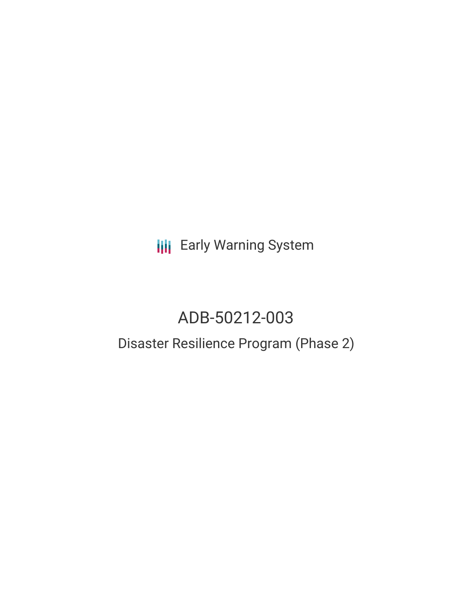**III** Early Warning System

# ADB-50212-003

## Disaster Resilience Program (Phase 2)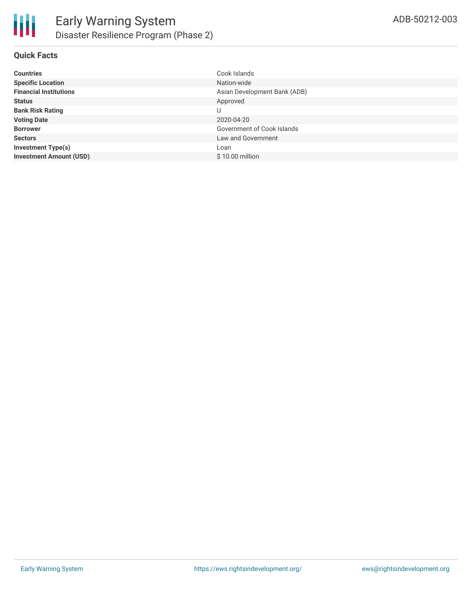#### **Quick Facts**

| <b>Countries</b>               | Cook Islands                 |
|--------------------------------|------------------------------|
| <b>Specific Location</b>       | Nation-wide                  |
| <b>Financial Institutions</b>  | Asian Development Bank (ADB) |
| <b>Status</b>                  | Approved                     |
| <b>Bank Risk Rating</b>        | U                            |
| <b>Voting Date</b>             | 2020-04-20                   |
| <b>Borrower</b>                | Government of Cook Islands   |
| <b>Sectors</b>                 | Law and Government           |
| <b>Investment Type(s)</b>      | Loan                         |
| <b>Investment Amount (USD)</b> | $$10.00$ million             |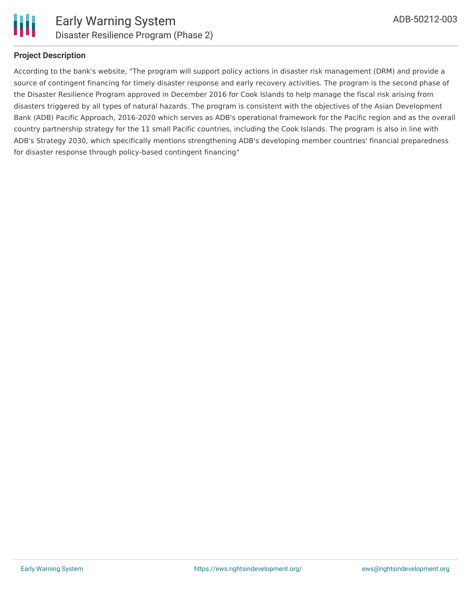

#### **Project Description**

According to the bank's website, "The program will support policy actions in disaster risk management (DRM) and provide a source of contingent financing for timely disaster response and early recovery activities. The program is the second phase of the Disaster Resilience Program approved in December 2016 for Cook Islands to help manage the fiscal risk arising from disasters triggered by all types of natural hazards. The program is consistent with the objectives of the Asian Development Bank (ADB) Pacific Approach, 2016-2020 which serves as ADB's operational framework for the Pacific region and as the overall country partnership strategy for the 11 small Pacific countries, including the Cook Islands. The program is also in line with ADB's Strategy 2030, which specifically mentions strengthening ADB's developing member countries' financial preparedness for disaster response through policy-based contingent financing"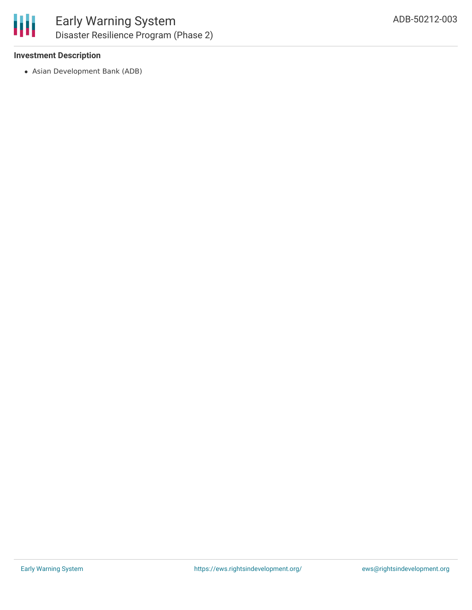

#### **Investment Description**

Asian Development Bank (ADB)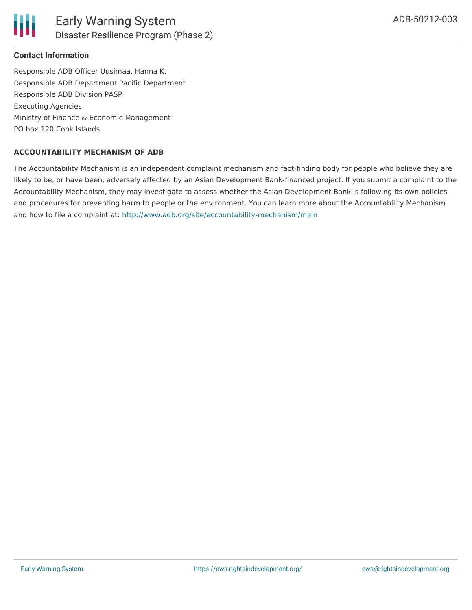

#### **Contact Information**

Responsible ADB Officer Uusimaa, Hanna K. Responsible ADB Department Pacific Department Responsible ADB Division PASP Executing Agencies Ministry of Finance & Economic Management PO box 120 Cook Islands

#### **ACCOUNTABILITY MECHANISM OF ADB**

The Accountability Mechanism is an independent complaint mechanism and fact-finding body for people who believe they are likely to be, or have been, adversely affected by an Asian Development Bank-financed project. If you submit a complaint to the Accountability Mechanism, they may investigate to assess whether the Asian Development Bank is following its own policies and procedures for preventing harm to people or the environment. You can learn more about the Accountability Mechanism and how to file a complaint at: <http://www.adb.org/site/accountability-mechanism/main>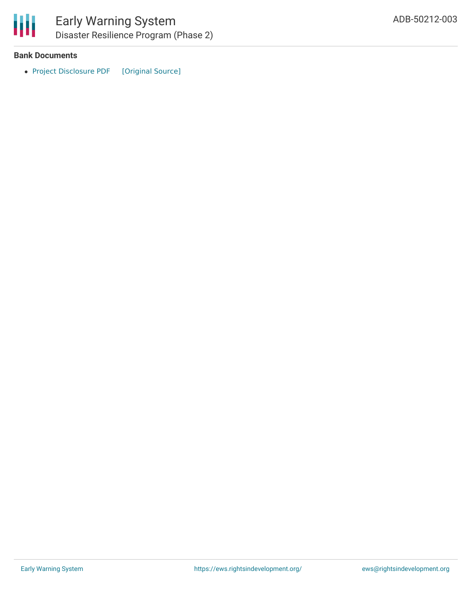

#### **Bank Documents**

• Project [Disclosure](https://ewsdata.rightsindevelopment.org/files/documents/03/ADB-50212-003.pdf) PDF [\[Original](https://www.adb.org/printpdf/projects/50212-003/main) Source]